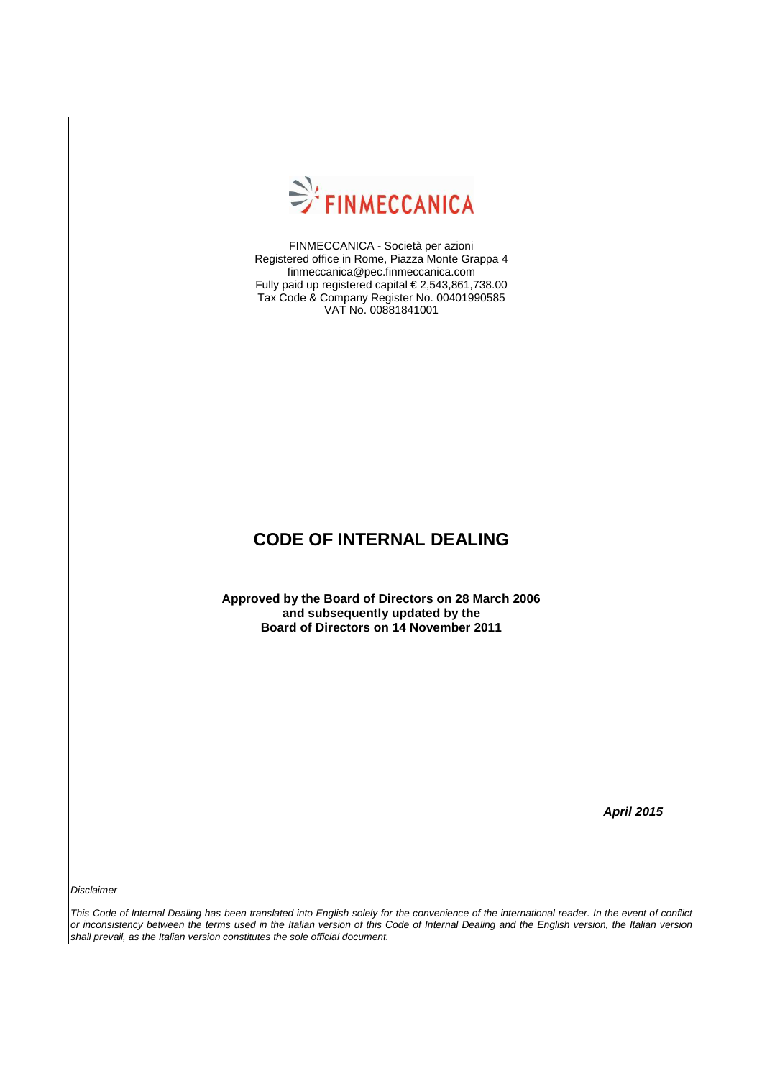

FINMECCANICA - Società per azioni Registered office in Rome, Piazza Monte Grappa 4 finmeccanica@pec.finmeccanica.com Fully paid up registered capital € 2,543,861,738.00 Tax Code & Company Register No. 00401990585 VAT No. 00881841001

# **CODE OF INTERNAL DEALING**

**Approved by the Board of Directors on 28 March 2006 and subsequently updated by the Board of Directors on 14 November 2011** 

**April 2015** 

**Disclaimer** 

This Code of Internal Dealing has been translated into English solely for the convenience of the international reader. In the event of conflict or inconsistency between the terms used in the Italian version of this Code of Internal Dealing and the English version, the Italian version shall prevail, as the Italian version constitutes the sole official document.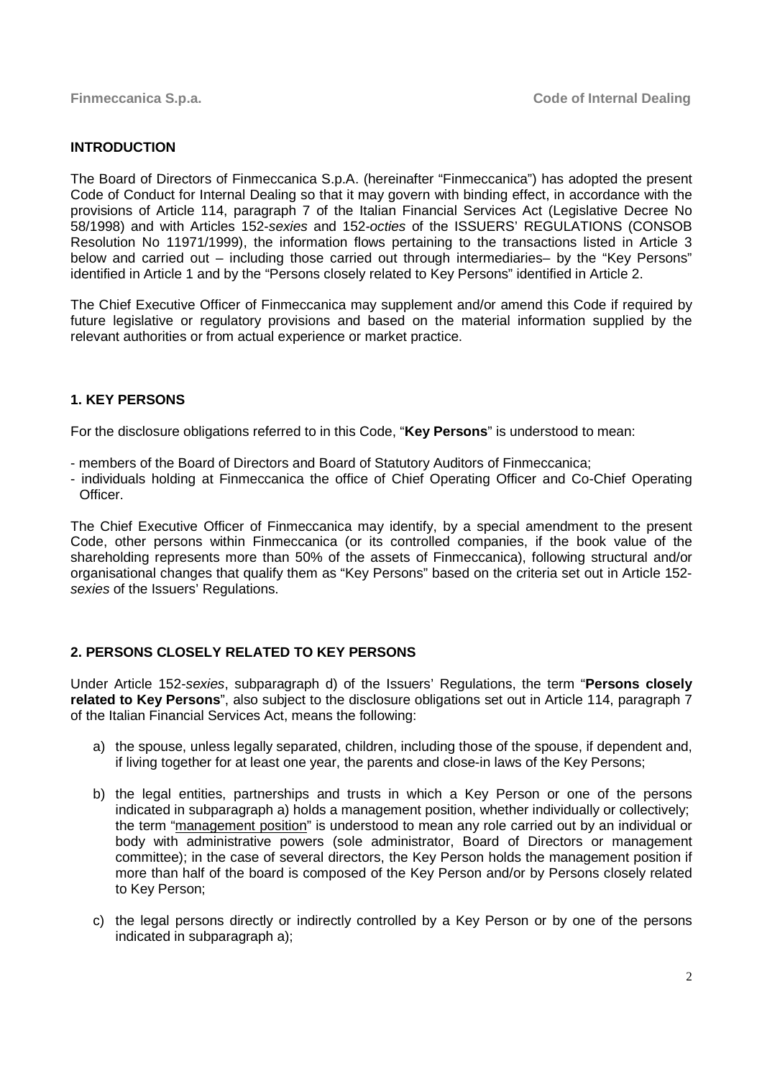## **INTRODUCTION**

The Board of Directors of Finmeccanica S.p.A. (hereinafter "Finmeccanica") has adopted the present Code of Conduct for Internal Dealing so that it may govern with binding effect, in accordance with the provisions of Article 114, paragraph 7 of the Italian Financial Services Act (Legislative Decree No 58/1998) and with Articles 152-sexies and 152-octies of the ISSUERS' REGULATIONS (CONSOB Resolution No 11971/1999), the information flows pertaining to the transactions listed in Article 3 below and carried out – including those carried out through intermediaries– by the "Key Persons" identified in Article 1 and by the "Persons closely related to Key Persons" identified in Article 2.

The Chief Executive Officer of Finmeccanica may supplement and/or amend this Code if required by future legislative or regulatory provisions and based on the material information supplied by the relevant authorities or from actual experience or market practice.

## **1. KEY PERSONS**

For the disclosure obligations referred to in this Code, "**Key Persons**" is understood to mean:

- members of the Board of Directors and Board of Statutory Auditors of Finmeccanica;
- individuals holding at Finmeccanica the office of Chief Operating Officer and Co-Chief Operating Officer.

The Chief Executive Officer of Finmeccanica may identify, by a special amendment to the present Code, other persons within Finmeccanica (or its controlled companies, if the book value of the shareholding represents more than 50% of the assets of Finmeccanica), following structural and/or organisational changes that qualify them as "Key Persons" based on the criteria set out in Article 152 sexies of the Issuers' Regulations.

# **2. PERSONS CLOSELY RELATED TO KEY PERSONS**

Under Article 152-sexies, subparagraph d) of the Issuers' Regulations, the term "**Persons closely related to Key Persons**", also subject to the disclosure obligations set out in Article 114, paragraph 7 of the Italian Financial Services Act, means the following:

- a) the spouse, unless legally separated, children, including those of the spouse, if dependent and, if living together for at least one year, the parents and close-in laws of the Key Persons;
- b) the legal entities, partnerships and trusts in which a Key Person or one of the persons indicated in subparagraph a) holds a management position, whether individually or collectively; the term "management position" is understood to mean any role carried out by an individual or body with administrative powers (sole administrator, Board of Directors or management committee); in the case of several directors, the Key Person holds the management position if more than half of the board is composed of the Key Person and/or by Persons closely related to Key Person;
- c) the legal persons directly or indirectly controlled by a Key Person or by one of the persons indicated in subparagraph a);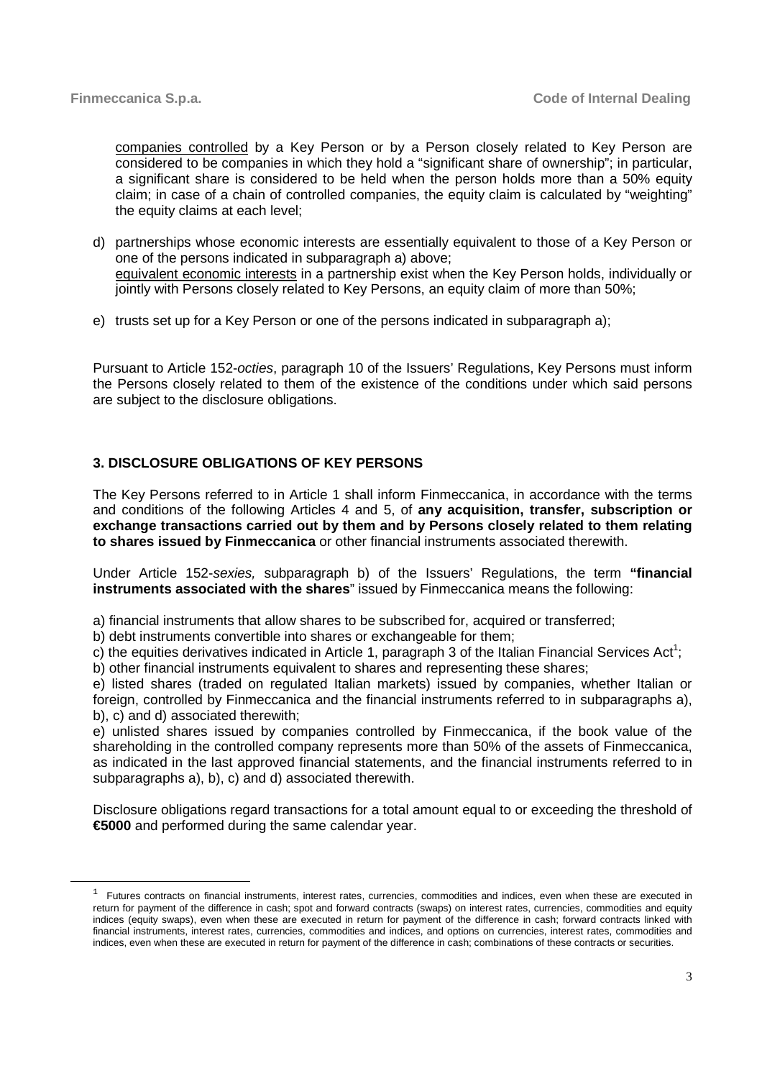companies controlled by a Key Person or by a Person closely related to Key Person are considered to be companies in which they hold a "significant share of ownership"; in particular, a significant share is considered to be held when the person holds more than a 50% equity claim; in case of a chain of controlled companies, the equity claim is calculated by "weighting" the equity claims at each level;

- d) partnerships whose economic interests are essentially equivalent to those of a Key Person or one of the persons indicated in subparagraph a) above; equivalent economic interests in a partnership exist when the Key Person holds, individually or jointly with Persons closely related to Key Persons, an equity claim of more than 50%;
- e) trusts set up for a Key Person or one of the persons indicated in subparagraph a);

Pursuant to Article 152-octies, paragraph 10 of the Issuers' Regulations, Key Persons must inform the Persons closely related to them of the existence of the conditions under which said persons are subject to the disclosure obligations.

## **3. DISCLOSURE OBLIGATIONS OF KEY PERSONS**

The Key Persons referred to in Article 1 shall inform Finmeccanica, in accordance with the terms and conditions of the following Articles 4 and 5, of **any acquisition, transfer, subscription or exchange transactions carried out by them and by Persons closely related to them relating to shares issued by Finmeccanica** or other financial instruments associated therewith.

Under Article 152-sexies, subparagraph b) of the Issuers' Regulations, the term **"financial instruments associated with the shares**" issued by Finmeccanica means the following:

a) financial instruments that allow shares to be subscribed for, acquired or transferred;

b) debt instruments convertible into shares or exchangeable for them;

c) the equities derivatives indicated in Article 1, paragraph 3 of the Italian Financial Services Act<sup>1</sup>; b) other financial instruments equivalent to shares and representing these shares;

e) listed shares (traded on regulated Italian markets) issued by companies, whether Italian or foreign, controlled by Finmeccanica and the financial instruments referred to in subparagraphs a),

b), c) and d) associated therewith;

<u>.</u>

e) unlisted shares issued by companies controlled by Finmeccanica, if the book value of the shareholding in the controlled company represents more than 50% of the assets of Finmeccanica, as indicated in the last approved financial statements, and the financial instruments referred to in subparagraphs a), b), c) and d) associated therewith.

Disclosure obligations regard transactions for a total amount equal to or exceeding the threshold of **€5000** and performed during the same calendar year.

 $1$  Futures contracts on financial instruments, interest rates, currencies, commodities and indices, even when these are executed in return for payment of the difference in cash; spot and forward contracts (swaps) on interest rates, currencies, commodities and equity indices (equity swaps), even when these are executed in return for payment of the difference in cash; forward contracts linked with financial instruments, interest rates, currencies, commodities and indices, and options on currencies, interest rates, commodities and indices, even when these are executed in return for payment of the difference in cash; combinations of these contracts or securities.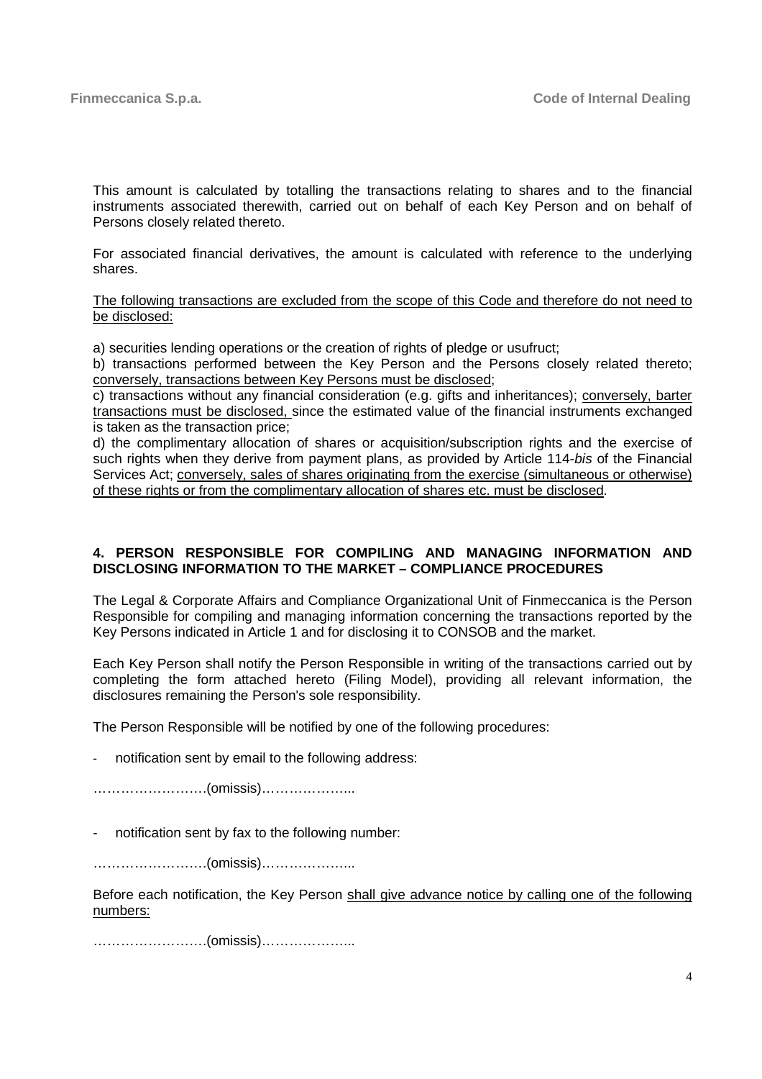This amount is calculated by totalling the transactions relating to shares and to the financial instruments associated therewith, carried out on behalf of each Key Person and on behalf of Persons closely related thereto.

For associated financial derivatives, the amount is calculated with reference to the underlying shares.

The following transactions are excluded from the scope of this Code and therefore do not need to be disclosed:

a) securities lending operations or the creation of rights of pledge or usufruct;

b) transactions performed between the Key Person and the Persons closely related thereto; conversely, transactions between Key Persons must be disclosed;

c) transactions without any financial consideration (e.g. gifts and inheritances); conversely, barter transactions must be disclosed, since the estimated value of the financial instruments exchanged is taken as the transaction price;

d) the complimentary allocation of shares or acquisition/subscription rights and the exercise of such rights when they derive from payment plans, as provided by Article 114-bis of the Financial Services Act; conversely, sales of shares originating from the exercise (simultaneous or otherwise) of these rights or from the complimentary allocation of shares etc. must be disclosed.

#### **4. PERSON RESPONSIBLE FOR COMPILING AND MANAGING INFORMATION AND DISCLOSING INFORMATION TO THE MARKET – COMPLIANCE PROCEDURES**

The Legal & Corporate Affairs and Compliance Organizational Unit of Finmeccanica is the Person Responsible for compiling and managing information concerning the transactions reported by the Key Persons indicated in Article 1 and for disclosing it to CONSOB and the market.

Each Key Person shall notify the Person Responsible in writing of the transactions carried out by completing the form attached hereto (Filing Model), providing all relevant information, the disclosures remaining the Person's sole responsibility.

The Person Responsible will be notified by one of the following procedures:

notification sent by email to the following address:

…………………….(omissis)………………...

notification sent by fax to the following number:

…………………….(omissis)………………...

Before each notification, the Key Person shall give advance notice by calling one of the following numbers:

…………………….(omissis)………………...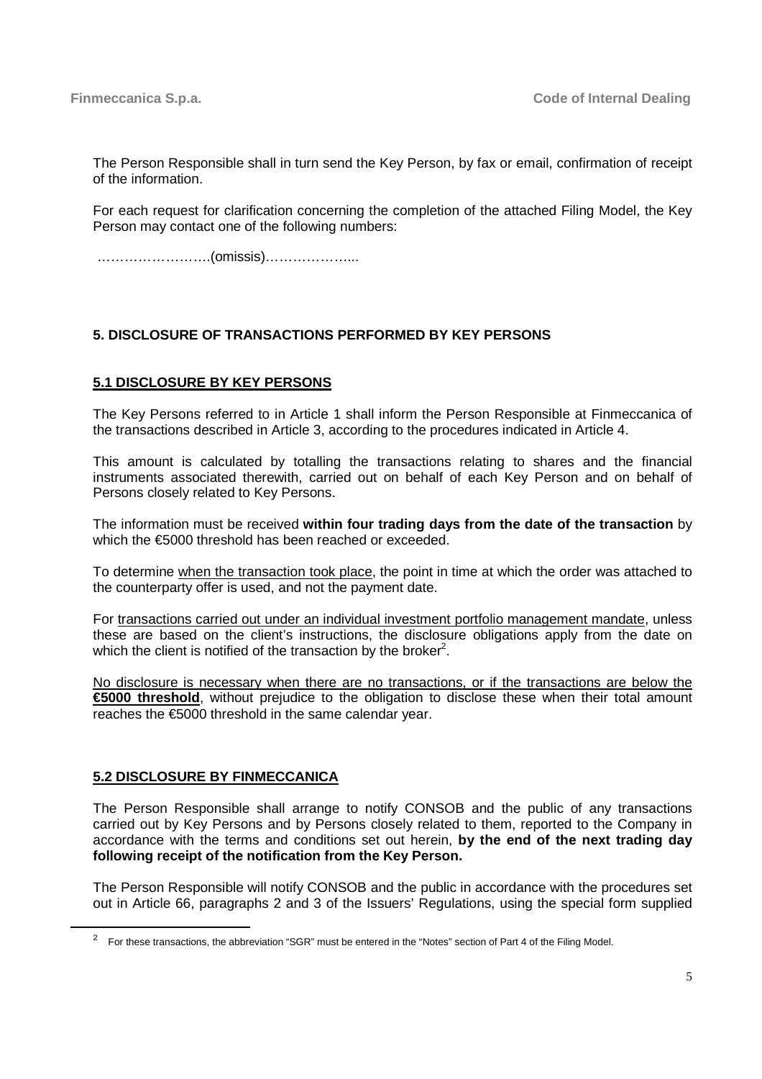The Person Responsible shall in turn send the Key Person, by fax or email, confirmation of receipt of the information.

For each request for clarification concerning the completion of the attached Filing Model, the Key Person may contact one of the following numbers:

…………………….(omissis)………………...

# **5. DISCLOSURE OF TRANSACTIONS PERFORMED BY KEY PERSONS**

## **5.1 DISCLOSURE BY KEY PERSONS**

The Key Persons referred to in Article 1 shall inform the Person Responsible at Finmeccanica of the transactions described in Article 3, according to the procedures indicated in Article 4.

This amount is calculated by totalling the transactions relating to shares and the financial instruments associated therewith, carried out on behalf of each Key Person and on behalf of Persons closely related to Key Persons.

The information must be received **within four trading days from the date of the transaction** by which the €5000 threshold has been reached or exceeded.

To determine when the transaction took place, the point in time at which the order was attached to the counterparty offer is used, and not the payment date.

For transactions carried out under an individual investment portfolio management mandate, unless these are based on the client's instructions, the disclosure obligations apply from the date on which the client is notified of the transaction by the broker<sup>2</sup>.

No disclosure is necessary when there are no transactions, or if the transactions are below the **€5000 threshold**, without prejudice to the obligation to disclose these when their total amount reaches the €5000 threshold in the same calendar year.

#### **5.2 DISCLOSURE BY FINMECCANICA**

<u>.</u>

The Person Responsible shall arrange to notify CONSOB and the public of any transactions carried out by Key Persons and by Persons closely related to them, reported to the Company in accordance with the terms and conditions set out herein, **by the end of the next trading day following receipt of the notification from the Key Person.** 

The Person Responsible will notify CONSOB and the public in accordance with the procedures set out in Article 66, paragraphs 2 and 3 of the Issuers' Regulations, using the special form supplied

 $2^2$  For these transactions, the abbreviation "SGR" must be entered in the "Notes" section of Part 4 of the Filing Model.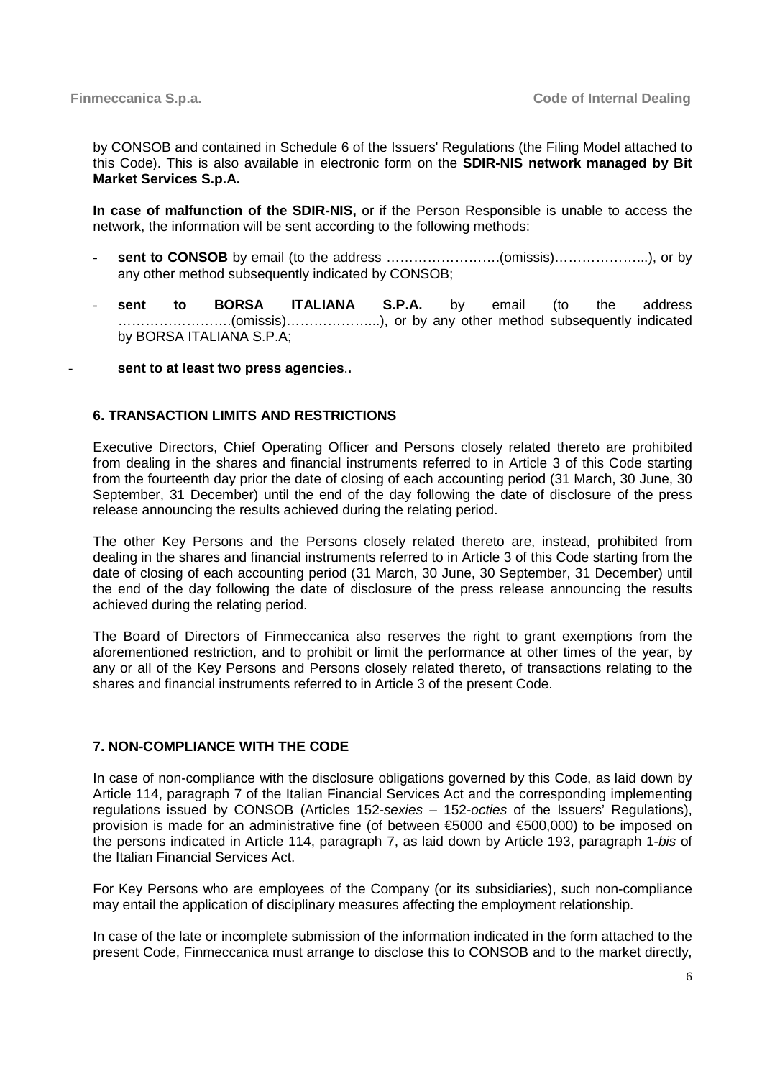by CONSOB and contained in Schedule 6 of the Issuers' Regulations (the Filing Model attached to this Code). This is also available in electronic form on the **SDIR-NIS network managed by Bit Market Services S.p.A.** 

**In case of malfunction of the SDIR-NIS,** or if the Person Responsible is unable to access the network, the information will be sent according to the following methods:

- **sent to CONSOB** by email (to the address …………………….(omissis)………………...), or by any other method subsequently indicated by CONSOB;
- **sent to BORSA ITALIANA S.P.A.** by email (to the address …………………….(omissis)………………...), or by any other method subsequently indicated by BORSA ITALIANA S.P.A;

- **sent to at least two press agencies**.**.** 

## **6. TRANSACTION LIMITS AND RESTRICTIONS**

Executive Directors, Chief Operating Officer and Persons closely related thereto are prohibited from dealing in the shares and financial instruments referred to in Article 3 of this Code starting from the fourteenth day prior the date of closing of each accounting period (31 March, 30 June, 30 September, 31 December) until the end of the day following the date of disclosure of the press release announcing the results achieved during the relating period.

The other Key Persons and the Persons closely related thereto are, instead, prohibited from dealing in the shares and financial instruments referred to in Article 3 of this Code starting from the date of closing of each accounting period (31 March, 30 June, 30 September, 31 December) until the end of the day following the date of disclosure of the press release announcing the results achieved during the relating period.

The Board of Directors of Finmeccanica also reserves the right to grant exemptions from the aforementioned restriction, and to prohibit or limit the performance at other times of the year, by any or all of the Key Persons and Persons closely related thereto, of transactions relating to the shares and financial instruments referred to in Article 3 of the present Code.

#### **7. NON-COMPLIANCE WITH THE CODE**

In case of non-compliance with the disclosure obligations governed by this Code, as laid down by Article 114, paragraph 7 of the Italian Financial Services Act and the corresponding implementing regulations issued by CONSOB (Articles 152-sexies – 152-octies of the Issuers' Regulations), provision is made for an administrative fine (of between €5000 and €500,000) to be imposed on the persons indicated in Article 114, paragraph 7, as laid down by Article 193, paragraph 1-bis of the Italian Financial Services Act.

For Key Persons who are employees of the Company (or its subsidiaries), such non-compliance may entail the application of disciplinary measures affecting the employment relationship.

In case of the late or incomplete submission of the information indicated in the form attached to the present Code, Finmeccanica must arrange to disclose this to CONSOB and to the market directly,